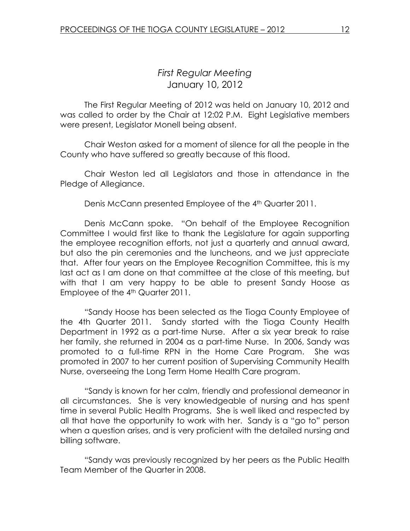## First Regular Meeting January 10, 2012

 The First Regular Meeting of 2012 was held on January 10, 2012 and was called to order by the Chair at 12:02 P.M. Eight Legislative members were present, Legislator Monell being absent.

Chair Weston asked for a moment of silence for all the people in the County who have suffered so greatly because of this flood.

 Chair Weston led all Legislators and those in attendance in the Pledge of Allegiance.

Denis McCann presented Employee of the 4<sup>th</sup> Quarter 2011.

 Denis McCann spoke. "On behalf of the Employee Recognition Committee I would first like to thank the Legislature for again supporting the employee recognition efforts, not just a quarterly and annual award, but also the pin ceremonies and the luncheons, and we just appreciate that. After four years on the Employee Recognition Committee, this is my last act as I am done on that committee at the close of this meeting, but with that I am very happy to be able to present Sandy Hoose as Employee of the 4<sup>th</sup> Quarter 2011.

 "Sandy Hoose has been selected as the Tioga County Employee of the 4th Quarter 2011. Sandy started with the Tioga County Health Department in 1992 as a part-time Nurse. After a six year break to raise her family, she returned in 2004 as a part-time Nurse. In 2006, Sandy was promoted to a full-time RPN in the Home Care Program. She was promoted in 2007 to her current position of Supervising Community Health Nurse, overseeing the Long Term Home Health Care program.

"Sandy is known for her calm, friendly and professional demeanor in all circumstances. She is very knowledgeable of nursing and has spent time in several Public Health Programs. She is well liked and respected by all that have the opportunity to work with her. Sandy is a "go to" person when a question arises, and is very proficient with the detailed nursing and billing software.

"Sandy was previously recognized by her peers as the Public Health Team Member of the Quarter in 2008.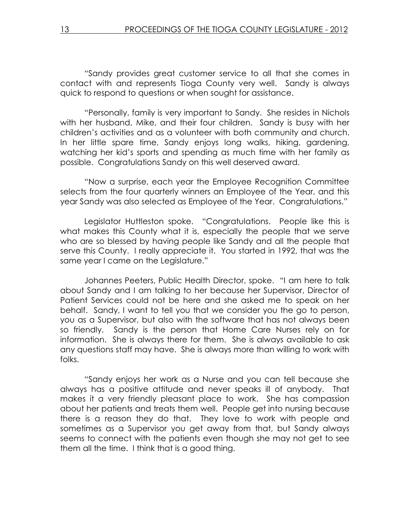"Sandy provides great customer service to all that she comes in contact with and represents Tioga County very well. Sandy is always quick to respond to questions or when sought for assistance.

"Personally, family is very important to Sandy. She resides in Nichols with her husband, Mike, and their four children. Sandy is busy with her children's activities and as a volunteer with both community and church. In her little spare time, Sandy enjoys long walks, hiking, gardening, watching her kid's sports and spending as much time with her family as possible. Congratulations Sandy on this well deserved award.

 "Now a surprise, each year the Employee Recognition Committee selects from the four quarterly winners an Employee of the Year, and this year Sandy was also selected as Employee of the Year. Congratulations."

 Legislator Huttleston spoke. "Congratulations. People like this is what makes this County what it is, especially the people that we serve who are so blessed by having people like Sandy and all the people that serve this County. I really appreciate it. You started in 1992, that was the same year I came on the Legislature."

 Johannes Peeters, Public Health Director, spoke. "I am here to talk about Sandy and I am talking to her because her Supervisor, Director of Patient Services could not be here and she asked me to speak on her behalf. Sandy, I want to tell you that we consider you the go to person, you as a Supervisor, but also with the software that has not always been so friendly. Sandy is the person that Home Care Nurses rely on for information. She is always there for them. She is always available to ask any questions staff may have. She is always more than willing to work with folks.

 "Sandy enjoys her work as a Nurse and you can tell because she always has a positive attitude and never speaks ill of anybody. That makes it a very friendly pleasant place to work. She has compassion about her patients and treats them well. People get into nursing because there is a reason they do that. They love to work with people and sometimes as a Supervisor you get away from that, but Sandy always seems to connect with the patients even though she may not get to see them all the time. I think that is a good thing.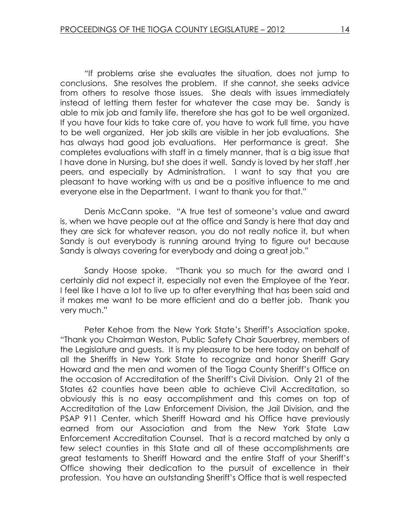"If problems arise she evaluates the situation, does not jump to conclusions. She resolves the problem. If she cannot, she seeks advice from others to resolve those issues. She deals with issues immediately instead of letting them fester for whatever the case may be. Sandy is able to mix job and family life, therefore she has got to be well organized. If you have four kids to take care of, you have to work full time, you have to be well organized. Her job skills are visible in her job evaluations. She has always had good job evaluations. Her performance is great. She completes evaluations with staff in a timely manner, that is a big issue that I have done in Nursing, but she does it well. Sandy is loved by her staff ,her peers, and especially by Administration. I want to say that you are pleasant to have working with us and be a positive influence to me and everyone else in the Department. I want to thank you for that."

 Denis McCann spoke. "A true test of someone's value and award is, when we have people out at the office and Sandy is here that day and they are sick for whatever reason, you do not really notice it, but when Sandy is out everybody is running around trying to figure out because Sandy is always covering for everybody and doing a great job."

 Sandy Hoose spoke. "Thank you so much for the award and I certainly did not expect it, especially not even the Employee of the Year. I feel like I have a lot to live up to after everything that has been said and it makes me want to be more efficient and do a better job. Thank you very much."

 Peter Kehoe from the New York State's Sheriff's Association spoke. "Thank you Chairman Weston, Public Safety Chair Sauerbrey, members of the Legislature and guests. It is my pleasure to be here today on behalf of all the Sheriffs in New York State to recognize and honor Sheriff Gary Howard and the men and women of the Tioga County Sheriff's Office on the occasion of Accreditation of the Sheriff's Civil Division. Only 21 of the States 62 counties have been able to achieve Civil Accreditation, so obviously this is no easy accomplishment and this comes on top of Accreditation of the Law Enforcement Division, the Jail Division, and the PSAP 911 Center, which Sheriff Howard and his Office have previously earned from our Association and from the New York State Law Enforcement Accreditation Counsel. That is a record matched by only a few select counties in this State and all of these accomplishments are great testaments to Sheriff Howard and the entire Staff of your Sheriff's Office showing their dedication to the pursuit of excellence in their profession. You have an outstanding Sheriff's Office that is well respected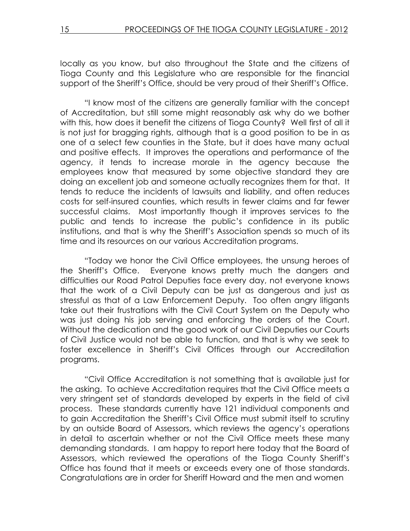locally as you know, but also throughout the State and the citizens of Tioga County and this Legislature who are responsible for the financial support of the Sheriff's Office, should be very proud of their Sheriff's Office.

 "I know most of the citizens are generally familiar with the concept of Accreditation, but still some might reasonably ask why do we bother with this, how does it benefit the citizens of Tioga County? Well first of all it is not just for bragging rights, although that is a good position to be in as one of a select few counties in the State, but it does have many actual and positive effects. It improves the operations and performance of the agency, it tends to increase morale in the agency because the employees know that measured by some objective standard they are doing an excellent job and someone actually recognizes them for that. It tends to reduce the incidents of lawsuits and liability, and often reduces costs for self-insured counties, which results in fewer claims and far fewer successful claims. Most importantly though it improves services to the public and tends to increase the public's confidence in its public institutions, and that is why the Sheriff's Association spends so much of its time and its resources on our various Accreditation programs.

 "Today we honor the Civil Office employees, the unsung heroes of the Sheriff's Office. Everyone knows pretty much the dangers and difficulties our Road Patrol Deputies face every day, not everyone knows that the work of a Civil Deputy can be just as dangerous and just as stressful as that of a Law Enforcement Deputy. Too often angry litigants take out their frustrations with the Civil Court System on the Deputy who was just doing his job serving and enforcing the orders of the Court. Without the dedication and the good work of our Civil Deputies our Courts of Civil Justice would not be able to function, and that is why we seek to foster excellence in Sheriff's Civil Offices through our Accreditation programs.

 "Civil Office Accreditation is not something that is available just for the asking. To achieve Accreditation requires that the Civil Office meets a very stringent set of standards developed by experts in the field of civil process. These standards currently have 121 individual components and to gain Accreditation the Sheriff's Civil Office must submit itself to scrutiny by an outside Board of Assessors, which reviews the agency's operations in detail to ascertain whether or not the Civil Office meets these many demanding standards. I am happy to report here today that the Board of Assessors, which reviewed the operations of the Tioga County Sheriff's Office has found that it meets or exceeds every one of those standards. Congratulations are in order for Sheriff Howard and the men and women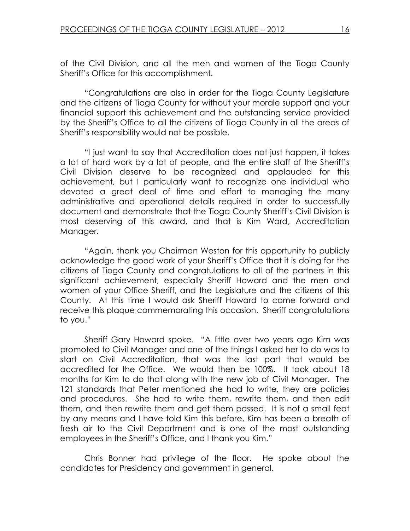of the Civil Division, and all the men and women of the Tioga County Sheriff's Office for this accomplishment.

 "Congratulations are also in order for the Tioga County Legislature and the citizens of Tioga County for without your morale support and your financial support this achievement and the outstanding service provided by the Sheriff's Office to all the citizens of Tioga County in all the areas of Sheriff's responsibility would not be possible.

 "I just want to say that Accreditation does not just happen, it takes a lot of hard work by a lot of people, and the entire staff of the Sheriff's Civil Division deserve to be recognized and applauded for this achievement, but I particularly want to recognize one individual who devoted a great deal of time and effort to managing the many administrative and operational details required in order to successfully document and demonstrate that the Tioga County Sheriff's Civil Division is most deserving of this award, and that is Kim Ward, Accreditation Manager.

"Again, thank you Chairman Weston for this opportunity to publicly acknowledge the good work of your Sheriff's Office that it is doing for the citizens of Tioga County and congratulations to all of the partners in this significant achievement, especially Sheriff Howard and the men and women of your Office Sheriff, and the Legislature and the citizens of this County. At this time I would ask Sheriff Howard to come forward and receive this plaque commemorating this occasion. Sheriff congratulations to you."

 Sheriff Gary Howard spoke. "A little over two years ago Kim was promoted to Civil Manager and one of the things I asked her to do was to start on Civil Accreditation, that was the last part that would be accredited for the Office. We would then be 100%. It took about 18 months for Kim to do that along with the new job of Civil Manager. The 121 standards that Peter mentioned she had to write, they are policies and procedures. She had to write them, rewrite them, and then edit them, and then rewrite them and get them passed. It is not a small feat by any means and I have told Kim this before, Kim has been a breath of fresh air to the Civil Department and is one of the most outstanding employees in the Sheriff's Office, and I thank you Kim."

 Chris Bonner had privilege of the floor. He spoke about the candidates for Presidency and government in general.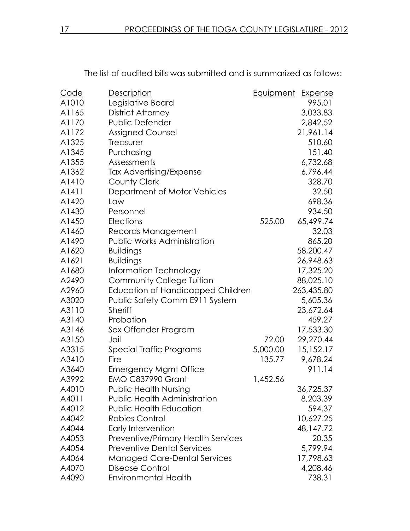| Code  | <b>Description</b>                        | Equipment | Expense    |
|-------|-------------------------------------------|-----------|------------|
| A1010 | Legislative Board                         |           | 995.01     |
| A1165 | District Attorney                         |           | 3,033.83   |
| A1170 | Public Defender                           |           | 2,842.52   |
| A1172 | <b>Assigned Counsel</b>                   |           | 21,961.14  |
| A1325 | Treasurer                                 |           | 510.60     |
| A1345 | Purchasing                                |           | 151.40     |
| A1355 | Assessments                               |           | 6,732.68   |
| A1362 | Tax Advertising/Expense                   |           | 6,796.44   |
| A1410 | <b>County Clerk</b>                       |           | 328.70     |
| A1411 | Department of Motor Vehicles              |           | 32.50      |
| A1420 | Law                                       |           | 698.36     |
| A1430 | Personnel                                 |           | 934.50     |
| A1450 | Elections                                 | 525.00    | 65,499.74  |
| A1460 | Records Management                        |           | 32.03      |
| A1490 | Public Works Administration               |           | 865.20     |
| A1620 | <b>Buildings</b>                          |           | 58,200.47  |
| A1621 | <b>Buildings</b>                          |           | 26,948.63  |
| A1680 | Information Technology                    |           | 17,325.20  |
| A2490 | <b>Community College Tuition</b>          |           | 88,025.10  |
| A2960 | <b>Education of Handicapped Children</b>  |           | 263,435.80 |
| A3020 | Public Safety Comm E911 System            |           | 5,605.36   |
| A3110 | <b>Sheriff</b>                            |           | 23,672.64  |
| A3140 | Probation                                 |           | 459.27     |
| A3146 | Sex Offender Program                      |           | 17,533.30  |
| A3150 | Jail                                      | 72.00     | 29,270.44  |
| A3315 | Special Traffic Programs                  | 5,000.00  | 15,152.17  |
| A3410 | Fire                                      | 135.77    | 9,678.24   |
| A3640 | <b>Emergency Mgmt Office</b>              |           | 911.14     |
| A3992 | <b>EMO C837990 Grant</b>                  | 1,452.56  |            |
| A4010 | Public Health Nursing                     |           | 36,725.37  |
| A4011 | <b>Public Health Administration</b>       |           | 8,203.39   |
| A4012 | <b>Public Health Education</b>            |           | 594.37     |
| A4042 | Rabies Control                            |           | 10,627.25  |
| A4044 | Early Intervention                        |           | 48,147.72  |
| A4053 | <b>Preventive/Primary Health Services</b> |           | 20.35      |
| A4054 | <b>Preventive Dental Services</b>         |           | 5,799.94   |
| A4064 | <b>Managed Care-Dental Services</b>       |           | 17,798.63  |
| A4070 | <b>Disease Control</b>                    |           | 4,208.46   |
| A4090 | <b>Environmental Health</b>               |           | 738.31     |

The list of audited bills was submitted and is summarized as follows: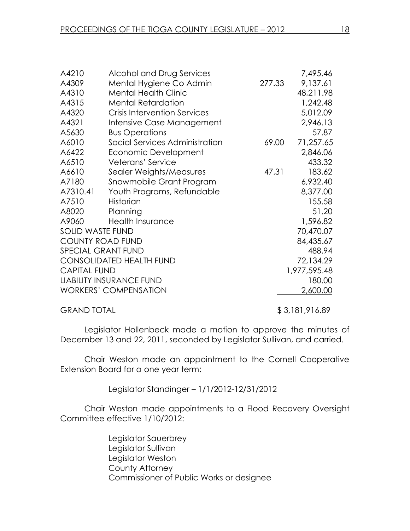| A4210                           | Alcohol and Drug Services           |        | 7,495.46     |
|---------------------------------|-------------------------------------|--------|--------------|
| A4309                           | Mental Hygiene Co Admin             | 277.33 | 9,137.61     |
| A4310                           | <b>Mental Health Clinic</b>         |        | 48,211.98    |
| A4315                           | <b>Mental Retardation</b>           |        | 1,242.48     |
| A4320                           | <b>Crisis Intervention Services</b> |        | 5,012.09     |
| A4321                           | Intensive Case Management           |        | 2,946.13     |
| A5630                           | <b>Bus Operations</b>               |        | 57.87        |
| A6010                           | Social Services Administration      | 69.00  | 71,257.65    |
| A6422                           | Economic Development                |        | 2,846.06     |
| A6510                           | Veterans' Service                   |        | 433.32       |
| A6610                           | Sealer Weights/Measures             | 47.31  | 183.62       |
| A7180                           | Snowmobile Grant Program            |        | 6,932.40     |
| A7310.41                        | Youth Programs, Refundable          |        | 8,377.00     |
| A7510                           | Historian                           |        | 155.58       |
| A8020                           | Planning                            |        | 51.20        |
| A9060                           | <b>Health Insurance</b>             |        | 1,596.82     |
| <b>SOLID WASTE FUND</b>         |                                     |        | 70,470.07    |
| <b>COUNTY ROAD FUND</b>         |                                     |        | 84,435.67    |
| <b>SPECIAL GRANT FUND</b>       |                                     |        | 488.94       |
| <b>CONSOLIDATED HEALTH FUND</b> |                                     |        | 72,134.29    |
| <b>CAPITAL FUND</b>             |                                     |        | 1,977,595.48 |
| <b>LIABILITY INSURANCE FUND</b> |                                     |        | 180.00       |
|                                 | <b>WORKERS' COMPENSATION</b>        |        | 2,600.00     |
|                                 |                                     |        |              |

GRAND TOTAL \$3,181,916.89

Legislator Hollenbeck made a motion to approve the minutes of December 13 and 22, 2011, seconded by Legislator Sullivan, and carried.

 Chair Weston made an appointment to the Cornell Cooperative Extension Board for a one year term:

Legislator Standinger – 1/1/2012-12/31/2012

 Chair Weston made appointments to a Flood Recovery Oversight Committee effective 1/10/2012:

> Legislator Sauerbrey Legislator Sullivan Legislator Weston County Attorney Commissioner of Public Works or designee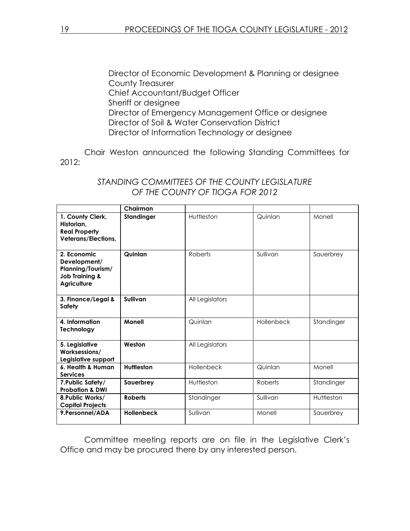Director of Economic Development & Planning or designee County Treasurer Chief Accountant/Budget Officer Sheriff or designee Director of Emergency Management Office or designee Director of Soil & Water Conservation District Director of Information Technology or designee

 Chair Weston announced the following Standing Committees for 2012:

|                                                                                                     | Chairman          |                 |            |            |
|-----------------------------------------------------------------------------------------------------|-------------------|-----------------|------------|------------|
| 1. County Clerk,<br>Historian.<br><b>Real Property</b><br><b>Veterans/Elections,</b>                | <b>Standinger</b> | Huttleston      | Quinlan    | Monell     |
| 2. Economic<br>Development/<br>Planning/Tourism/<br><b>Job Training &amp;</b><br><b>Agriculture</b> | Quinlan           | <b>Roberts</b>  | Sullivan   | Sauerbrey  |
| 3. Finance/Legal &<br><b>Safety</b>                                                                 | Sullivan          | All Legislators |            |            |
| 4. Information<br>Technology                                                                        | Monell            | Quinlan         | Hollenbeck | Standinger |
| 5. Legislative<br>Worksessions/<br>Legislative support                                              | Weston            | All Legislators |            |            |
| 6. Health & Human<br><b>Services</b>                                                                | <b>Huttleston</b> | Hollenbeck      | Quinlan    | Monell     |
| 7. Public Safety/<br><b>Probation &amp; DWI</b>                                                     | Sauerbrey         | Huttleston      | Roberts    | Standinger |
| 8. Public Works/<br><b>Capital Projects</b>                                                         | <b>Roberts</b>    | Standinger      | Sullivan   | Huttleston |
| 9. Personnel/ADA                                                                                    | <b>Hollenbeck</b> | Sullivan        | Monell     | Sauerbrey  |

## STANDING COMMITTEES OF THE COUNTY LEGISLATURE OF THE COUNTY OF TIOGA FOR 2012

Committee meeting reports are on file in the Legislative Clerk's Office and may be procured there by any interested person.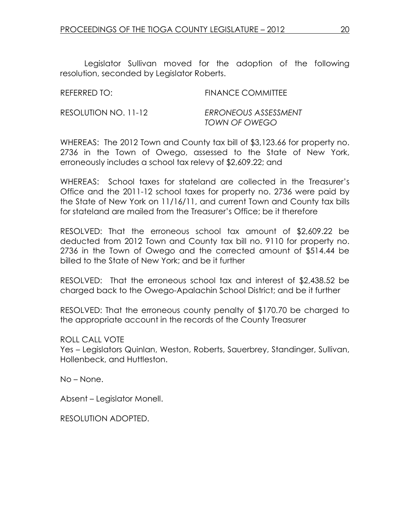Legislator Sullivan moved for the adoption of the following resolution, seconded by Legislator Roberts.

| REFERRED TO:         | <b>FINANCE COMMITTEE</b>              |
|----------------------|---------------------------------------|
| RESOLUTION NO. 11-12 | ERRONEOUS ASSESSMENT<br>TOWN OF OWEGO |

WHEREAS: The 2012 Town and County tax bill of \$3,123.66 for property no. 2736 in the Town of Owego, assessed to the State of New York, erroneously includes a school tax relevy of \$2,609.22; and

WHEREAS: School taxes for stateland are collected in the Treasurer's Office and the 2011-12 school taxes for property no. 2736 were paid by the State of New York on 11/16/11, and current Town and County tax bills for stateland are mailed from the Treasurer's Office; be it therefore

RESOLVED: That the erroneous school tax amount of \$2,609.22 be deducted from 2012 Town and County tax bill no. 9110 for property no. 2736 in the Town of Owego and the corrected amount of \$514.44 be billed to the State of New York; and be it further

RESOLVED: That the erroneous school tax and interest of \$2,438.52 be charged back to the Owego-Apalachin School District; and be it further

RESOLVED: That the erroneous county penalty of \$170.70 be charged to the appropriate account in the records of the County Treasurer

ROLL CALL VOTE

Yes – Legislators Quinlan, Weston, Roberts, Sauerbrey, Standinger, Sullivan, Hollenbeck, and Huttleston.

No – None.

Absent – Legislator Monell.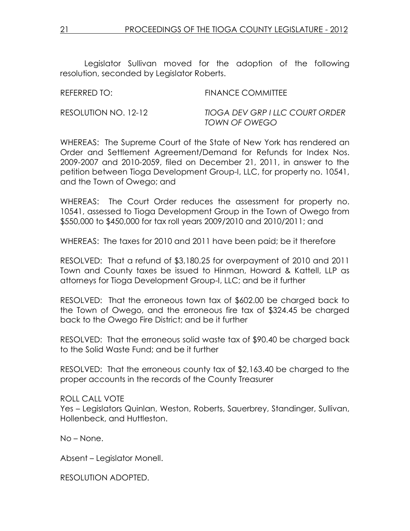Legislator Sullivan moved for the adoption of the following resolution, seconded by Legislator Roberts.

| REFERRED TO:         | <b>FINANCE COMMITTEE</b>                         |
|----------------------|--------------------------------------------------|
| RESOLUTION NO. 12-12 | TIOGA DEV GRP I LLC COURT ORDER<br>TOWN OF OWEGO |

WHEREAS: The Supreme Court of the State of New York has rendered an Order and Settlement Agreement/Demand for Refunds for Index Nos. 2009-2007 and 2010-2059, filed on December 21, 2011, in answer to the petition between Tioga Development Group-I, LLC, for property no. 10541, and the Town of Owego; and

WHEREAS: The Court Order reduces the assessment for property no. 10541, assessed to Tioga Development Group in the Town of Owego from \$550,000 to \$450,000 for tax roll years 2009/2010 and 2010/2011; and

WHEREAS: The taxes for 2010 and 2011 have been paid; be it therefore

RESOLVED: That a refund of \$3,180.25 for overpayment of 2010 and 2011 Town and County taxes be issued to Hinman, Howard & Kattell, LLP as attorneys for Tioga Development Group-I, LLC; and be it further

RESOLVED: That the erroneous town tax of \$602.00 be charged back to the Town of Owego, and the erroneous fire tax of \$324.45 be charged back to the Owego Fire District; and be it further

RESOLVED: That the erroneous solid waste tax of \$90.40 be charged back to the Solid Waste Fund; and be it further

RESOLVED: That the erroneous county tax of \$2,163.40 be charged to the proper accounts in the records of the County Treasurer

ROLL CALL VOTE Yes – Legislators Quinlan, Weston, Roberts, Sauerbrey, Standinger, Sullivan, Hollenbeck, and Huttleston.

No – None.

Absent – Legislator Monell.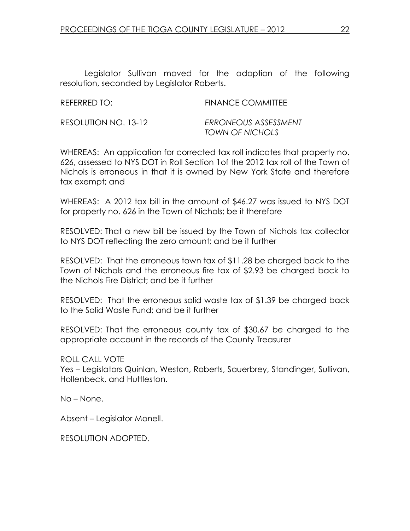Legislator Sullivan moved for the adoption of the following resolution, seconded by Legislator Roberts.

| REFERRED TO:         | <b>FINANCE COMMITTEE</b> |
|----------------------|--------------------------|
| RESOLUTION NO. 13-12 | ERRONEOUS ASSESSMENT     |

WHEREAS: An application for corrected tax roll indicates that property no. 626, assessed to NYS DOT in Roll Section 1of the 2012 tax roll of the Town of Nichols is erroneous in that it is owned by New York State and therefore tax exempt; and

TOWN OF NICHOLS

WHEREAS: A 2012 tax bill in the amount of \$46.27 was issued to NYS DOT for property no. 626 in the Town of Nichols; be it therefore

RESOLVED: That a new bill be issued by the Town of Nichols tax collector to NYS DOT reflecting the zero amount; and be it further

RESOLVED: That the erroneous town tax of \$11.28 be charged back to the Town of Nichols and the erroneous fire tax of \$2.93 be charged back to the Nichols Fire District; and be it further

RESOLVED: That the erroneous solid waste tax of \$1.39 be charged back to the Solid Waste Fund; and be it further

RESOLVED: That the erroneous county tax of \$30.67 be charged to the appropriate account in the records of the County Treasurer

ROLL CALL VOTE

Yes – Legislators Quinlan, Weston, Roberts, Sauerbrey, Standinger, Sullivan, Hollenbeck, and Huttleston.

No – None.

Absent – Legislator Monell.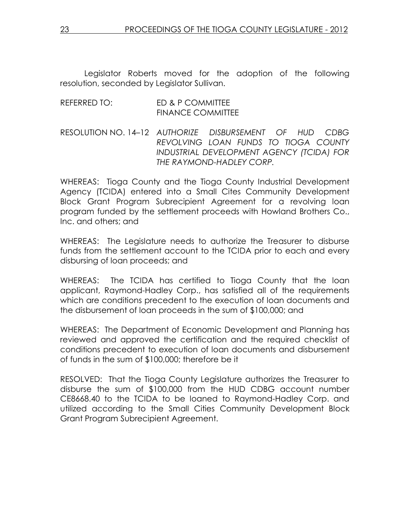Legislator Roberts moved for the adoption of the following resolution, seconded by Legislator Sullivan.

## REFERRED TO: ED & P COMMITTEE FINANCE COMMITTEE

RESOLUTION NO. 14–12 AUTHORIZE DISBURSEMENT OF HUD CDBG REVOLVING LOAN FUNDS TO TIOGA COUNTY INDUSTRIAL DEVELOPMENT AGENCY (TCIDA) FOR THE RAYMOND-HADLEY CORP.

WHEREAS: Tioga County and the Tioga County Industrial Development Agency (TCIDA) entered into a Small Cites Community Development Block Grant Program Subrecipient Agreement for a revolving loan program funded by the settlement proceeds with Howland Brothers Co., Inc. and others; and

WHEREAS: The Legislature needs to authorize the Treasurer to disburse funds from the settlement account to the TCIDA prior to each and every disbursing of loan proceeds; and

WHEREAS: The TCIDA has certified to Tioga County that the loan applicant, Raymond-Hadley Corp., has satisfied all of the requirements which are conditions precedent to the execution of loan documents and the disbursement of loan proceeds in the sum of \$100,000; and

WHEREAS: The Department of Economic Development and Planning has reviewed and approved the certification and the required checklist of conditions precedent to execution of loan documents and disbursement of funds in the sum of \$100,000; therefore be it

RESOLVED: That the Tioga County Legislature authorizes the Treasurer to disburse the sum of \$100,000 from the HUD CDBG account number CE8668.40 to the TCIDA to be loaned to Raymond-Hadley Corp. and utilized according to the Small Cities Community Development Block Grant Program Subrecipient Agreement.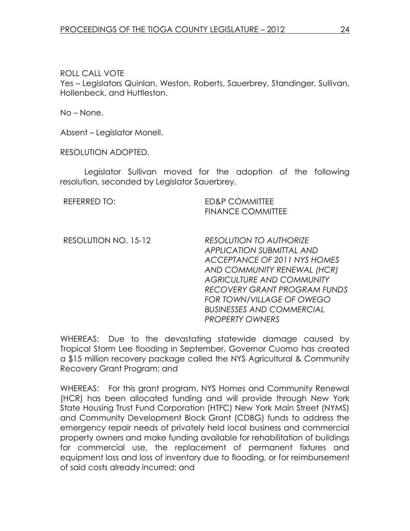## ROLL CALL VOTE

Yes – Legislators Quinlan, Weston, Roberts, Sauerbrey, Standinger, Sullivan, Hollenbeck, and Huttleston.

No – None.

Absent – Legislator Monell.

RESOLUTION ADOPTED.

 Legislator Sullivan moved for the adoption of the following resolution, seconded by Legislator Sauerbrey.

REFERRED TO: ED&P COMMITTEE FINANCE COMMITTEE

RESOLUTION NO. 15-12 RESOLUTION TO AUTHORIZE APPLICATION SUBMITTAL AND ACCEPTANCE OF 2011 NYS HOMES AND COMMUNITY RENEWAL (HCR) AGRICULTURE AND COMMUNITY RECOVERY GRANT PROGRAM FUNDS FOR TOWN/VILLAGE OF OWEGO BUSINESSES AND COMMERCIAL PROPERTY OWNERS

WHEREAS: Due to the devastating statewide damage caused by Tropical Storm Lee flooding in September, Governor Cuomo has created a \$15 million recovery package called the NYS Agricultural & Community Recovery Grant Program; and

WHEREAS: For this grant program, NYS Homes and Community Renewal (HCR) has been allocated funding and will provide through New York State Housing Trust Fund Corporation (HTFC) New York Main Street (NYMS) and Community Development Block Grant (CDBG) funds to address the emergency repair needs of privately held local business and commercial property owners and make funding available for rehabilitation of buildings for commercial use, the replacement of permanent fixtures and equipment loss and loss of inventory due to flooding, or for reimbursement of said costs already incurred; and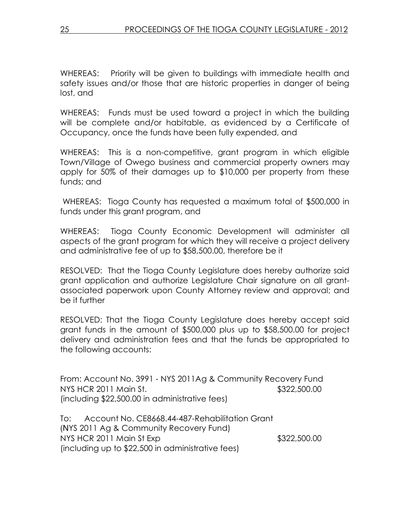WHEREAS: Priority will be given to buildings with immediate health and safety issues and/or those that are historic properties in danger of being lost, and

WHEREAS: Funds must be used toward a project in which the building will be complete and/or habitable, as evidenced by a Certificate of Occupancy, once the funds have been fully expended, and

WHEREAS: This is a non-competitive, grant program in which eligible Town/Village of Owego business and commercial property owners may apply for 50% of their damages up to \$10,000 per property from these funds; and

 WHEREAS: Tioga County has requested a maximum total of \$500,000 in funds under this grant program, and

WHEREAS: Tioga County Economic Development will administer all aspects of the grant program for which they will receive a project delivery and administrative fee of up to \$58,500.00, therefore be it

RESOLVED: That the Tioga County Legislature does hereby authorize said grant application and authorize Legislature Chair signature on all grantassociated paperwork upon County Attorney review and approval; and be it further

RESOLVED: That the Tioga County Legislature does hereby accept said grant funds in the amount of \$500,000 plus up to \$58,500.00 for project delivery and administration fees and that the funds be appropriated to the following accounts:

From: Account No. 3991 - NYS 2011Ag & Community Recovery Fund NYS HCR 2011 Main St. \$322,500.00 (including \$22,500.00 in administrative fees)

To: Account No. CE8668.44-487-Rehabilitation Grant (NYS 2011 Ag & Community Recovery Fund) NYS HCR 2011 Main St Exp \$322,500.00 (including up to \$22,500 in administrative fees)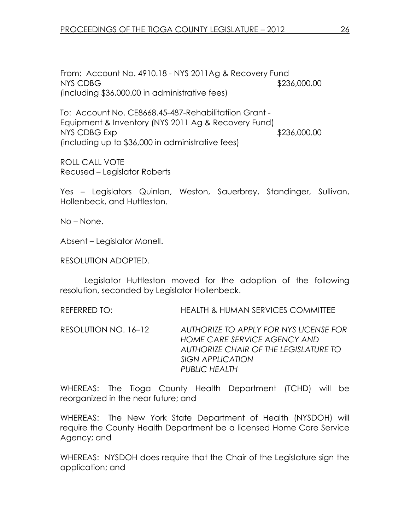From: Account No. 4910.18 - NYS 2011Ag & Recovery Fund NYS CDBG  $$236,000.00$ (including \$36,000.00 in administrative fees)

To: Account No. CE8668.45-487-Rehabilitatiion Grant - Equipment & Inventory (NYS 2011 Ag & Recovery Fund) NYS CDBG Exp \$236,000.00 (including up to \$36,000 in administrative fees)

ROLL CALL VOTE Recused – Legislator Roberts

Yes – Legislators Quinlan, Weston, Sauerbrey, Standinger, Sullivan, Hollenbeck, and Huttleston.

No – None.

Absent – Legislator Monell.

RESOLUTION ADOPTED.

 Legislator Huttleston moved for the adoption of the following resolution, seconded by Legislator Hollenbeck.

REFERRED TO: HEALTH & HUMAN SERVICES COMMITTEE

RESOLUTION NO. 16–12 AUTHORIZE TO APPLY FOR NYS LICENSE FOR HOME CARE SERVICE AGENCY AND AUTHORIZE CHAIR OF THE LEGISLATURE TO SIGN APPLICATION PUBLIC HEALTH

WHEREAS: The Tioga County Health Department (TCHD) will be reorganized in the near future; and

WHEREAS: The New York State Department of Health (NYSDOH) will require the County Health Department be a licensed Home Care Service Agency; and

WHEREAS: NYSDOH does require that the Chair of the Legislature sign the application; and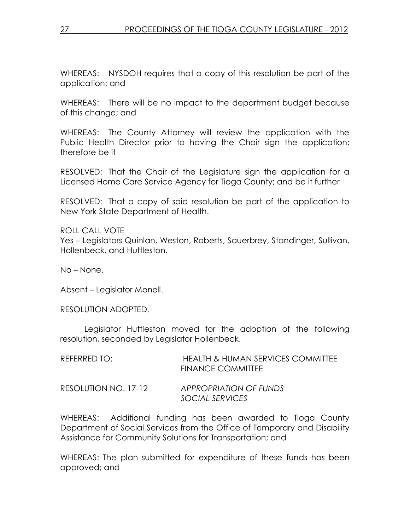WHEREAS: NYSDOH requires that a copy of this resolution be part of the application; and

WHEREAS: There will be no impact to the department budget because of this change; and

WHEREAS: The County Attorney will review the application with the Public Health Director prior to having the Chair sign the application; therefore be it

RESOLVED: That the Chair of the Legislature sign the application for a Licensed Home Care Service Agency for Tioga County; and be it further

RESOLVED: That a copy of said resolution be part of the application to New York State Department of Health.

ROLL CALL VOTE Yes – Legislators Quinlan, Weston, Roberts, Sauerbrey, Standinger, Sullivan, Hollenbeck, and Huttleston.

No – None.

Absent – Legislator Monell.

RESOLUTION ADOPTED.

 Legislator Huttleston moved for the adoption of the following resolution, seconded by Legislator Hollenbeck.

| REFERRED TO:         | <b>HEALTH &amp; HUMAN SERVICES COMMITTEE</b><br><b>FINANCE COMMITTEE</b> |
|----------------------|--------------------------------------------------------------------------|
| RESOLUTION NO. 17-12 | APPROPRIATION OF FUNDS<br>SOCIAL SERVICES                                |

WHEREAS: Additional funding has been awarded to Tioga County Department of Social Services from the Office of Temporary and Disability Assistance for Community Solutions for Transportation; and

WHEREAS: The plan submitted for expenditure of these funds has been approved; and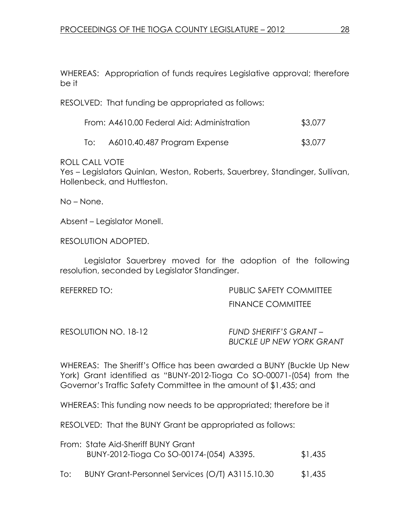WHEREAS: Appropriation of funds requires Legislative approval; therefore be it

RESOLVED: That funding be appropriated as follows:

|     | From: A4610.00 Federal Aid: Administration | \$3,077 |
|-----|--------------------------------------------|---------|
| To: | A6010.40.487 Program Expense               | \$3,077 |

ROLL CALL VOTE

Yes – Legislators Quinlan, Weston, Roberts, Sauerbrey, Standinger, Sullivan, Hollenbeck, and Huttleston.

No – None.

Absent – Legislator Monell.

RESOLUTION ADOPTED.

 Legislator Sauerbrey moved for the adoption of the following resolution, seconded by Legislator Standinger.

| REFERRED TO: |  |
|--------------|--|
|              |  |

PUBLIC SAFETY COMMITTEE FINANCE COMMITTEE

RESOLUTION NO. 18-12 FUND SHERIFF'S GRANT-BUCKLE UP NEW YORK GRANT

WHEREAS: The Sheriff's Office has been awarded a BUNY (Buckle Up New York) Grant identified as "BUNY-2012-Tioga Co SO-00071-(054) from the Governor's Traffic Safety Committee in the amount of \$1,435; and

WHEREAS: This funding now needs to be appropriated; therefore be it

RESOLVED: That the BUNY Grant be appropriated as follows:

|     | From: State Aid-Sheriff BUNY Grant<br>BUNY-2012-Tioga Co SO-00174-(054) A3395. | \$1,435 |
|-----|--------------------------------------------------------------------------------|---------|
| To: | BUNY Grant-Personnel Services (O/T) A3115.10.30                                | \$1,435 |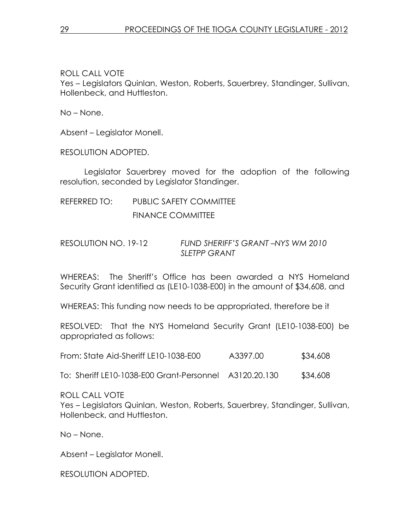ROLL CALL VOTE

Yes – Legislators Quinlan, Weston, Roberts, Sauerbrey, Standinger, Sullivan, Hollenbeck, and Huttleston.

No – None.

Absent – Legislator Monell.

RESOLUTION ADOPTED.

 Legislator Sauerbrey moved for the adoption of the following resolution, seconded by Legislator Standinger.

# REFERRED TO: PUBLIC SAFETY COMMITTEE FINANCE COMMITTEE

## RESOLUTION NO. 19-12 FUND SHERIFF'S GRANT –NYS WM 2010 SI FTPP GRANT

WHEREAS: The Sheriff's Office has been awarded a NYS Homeland Security Grant identified as (LE10-1038-E00) in the amount of \$34,608, and

WHEREAS: This funding now needs to be appropriated, therefore be it

RESOLVED: That the NYS Homeland Security Grant (LE10-1038-E00) be appropriated as follows:

|  | From: State Aid-Sheriff LE10-1038-E00 | A3397.00 | \$34,608 |
|--|---------------------------------------|----------|----------|
|  |                                       |          |          |

To: Sheriff LE10-1038-E00 Grant-Personnel A3120.20.130 \$34,608

ROLL CALL VOTE

Yes – Legislators Quinlan, Weston, Roberts, Sauerbrey, Standinger, Sullivan, Hollenbeck, and Huttleston.

No – None.

Absent – Legislator Monell.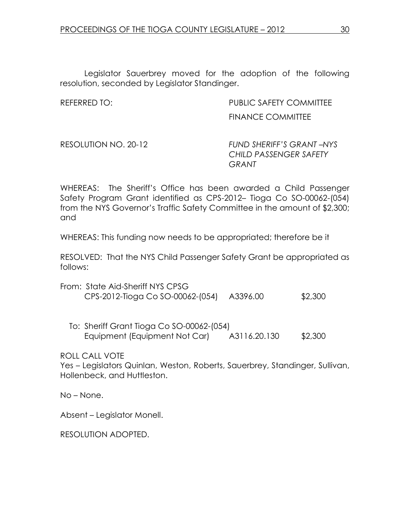Legislator Sauerbrey moved for the adoption of the following resolution, seconded by Legislator Standinger.

REFERRED TO: PUBLIC SAFETY COMMITTEE FINANCE COMMITTEE

RESOLUTION NO. 20-12 FUND SHERIFF'S GRANT –NYS CHILD PASSENGER SAFETY GRANT

WHEREAS: The Sheriff's Office has been awarded a Child Passenger Safety Program Grant identified as CPS-2012– Tioga Co SO-00062-(054) from the NYS Governor's Traffic Safety Committee in the amount of \$2,300; and

WHEREAS: This funding now needs to be appropriated; therefore be it

RESOLVED: That the NYS Child Passenger Safety Grant be appropriated as follows:

| From: State Aid-Sheriff NYS CPSG |          |         |
|----------------------------------|----------|---------|
| CPS-2012-Tioga Co SO-00062-(054) | A3396.00 | \$2,300 |

 To: Sheriff Grant Tioga Co SO-00062-(054) Equipment (Equipment Not Car)  $A3116.20.130$  \$2,300

ROLL CALL VOTE

Yes – Legislators Quinlan, Weston, Roberts, Sauerbrey, Standinger, Sullivan, Hollenbeck, and Huttleston.

No – None.

Absent – Legislator Monell.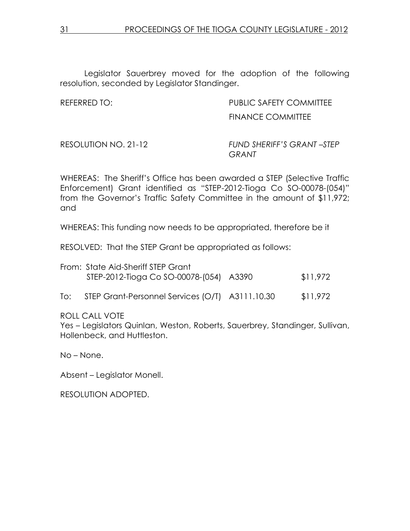Legislator Sauerbrey moved for the adoption of the following resolution, seconded by Legislator Standinger.

REFERRED TO: PUBLIC SAFETY COMMITTEE FINANCE COMMITTEE

RESOLUTION NO. 21-12 FUND SHERIFF'S GRANT – STEP **GRANT** 

WHEREAS: The Sheriff's Office has been awarded a STEP (Selective Traffic Enforcement) Grant identified as "STEP-2012-Tioga Co SO-00078-(054)" from the Governor's Traffic Safety Committee in the amount of \$11,972; and

WHEREAS: This funding now needs to be appropriated, therefore be it

RESOLVED: That the STEP Grant be appropriated as follows:

| From: State Aid-Sheriff STEP Grant      |          |
|-----------------------------------------|----------|
| STEP-2012-Tioga Co SO-00078-(054) A3390 | \$11,972 |
|                                         |          |

To: STEP Grant-Personnel Services (O/T) A3111.10.30 \$11,972

ROLL CALL VOTE

Yes – Legislators Quinlan, Weston, Roberts, Sauerbrey, Standinger, Sullivan, Hollenbeck, and Huttleston.

No – None.

Absent – Legislator Monell.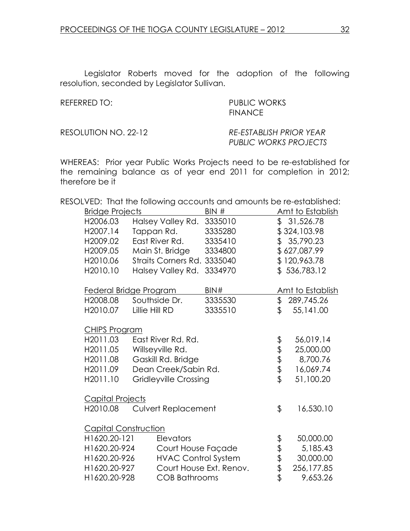Legislator Roberts moved for the adoption of the following resolution, seconded by Legislator Sullivan.

REFERRED TO: PUBLIC WORKS **FINANCE** 

RESOLUTION NO. 22-12 RE-ESTABLISH PRIOR YEAR PUBLIC WORKS PROJECTS

WHEREAS: Prior year Public Works Projects need to be re-established for the remaining balance as of year end 2011 for completion in 2012; therefore be it

RESOLVED: That the following accounts and amounts be re-established:

|                      | <b>Bridge Projects</b>               |                              | BIN#                    |      | Amt to Establish |
|----------------------|--------------------------------------|------------------------------|-------------------------|------|------------------|
| H2006.03             |                                      | Halsey Valley Rd.            | 3335010                 |      | \$31,526.78      |
| H2007.14             |                                      | Tappan Rd.                   | 3335280                 |      | \$324,103.98     |
| H2009.02             |                                      | East River Rd.               | 3335410                 |      | \$35,790.23      |
| H2009.05             |                                      | Main St. Bridge              | 3334800                 |      | \$627,087.99     |
| H2010.06             |                                      | Straits Corners Rd.          | 3335040                 |      | \$120,963.78     |
| H2010.10             |                                      | Halsey Valley Rd.            | 3334970                 |      | \$536,783.12     |
|                      | Federal Bridge Program               |                              | BIN#                    |      | Amt to Establish |
| H2008.08             |                                      | Southside Dr.                | 3335530                 | \$   | 289,745.26       |
| H2010.07             |                                      | Lillie Hill RD               | 3335510                 | \$   | 55,141.00        |
|                      | <b>CHIPS Program</b>                 |                              |                         |      |                  |
| H2011.03             |                                      | East River Rd. Rd.           |                         |      | 56,019.14        |
| H2011.05             |                                      | Willseyville Rd.             |                         |      | 25,000.00        |
| H2011.08             |                                      | Gaskill Rd. Bridge           |                         | もすます | 8,700.76         |
| H <sub>2011.09</sub> |                                      | Dean Creek/Sabin Rd.         |                         |      | 16,069.74        |
| H2011.10             |                                      | <b>Gridleyville Crossing</b> |                         |      | 51,100.20        |
|                      | <b>Capital Projects</b>              |                              |                         |      |                  |
| H2010.08             |                                      | <b>Culvert Replacement</b>   |                         | \$   | 16,530.10        |
|                      | <b>Capital Construction</b>          |                              |                         |      |                  |
| H1620.20-121         |                                      | Elevators                    |                         |      | 50,000.00        |
|                      | H1620.20-924<br>Court House Façade   |                              |                         |      | 5,185.43         |
| H1620.20-926         |                                      | <b>HVAC Control System</b>   |                         | ももまま | 30,000.00        |
| H1620.20-927         |                                      |                              | Court House Ext. Renov. |      | 256,177.85       |
|                      | H1620.20-928<br><b>COB Bathrooms</b> |                              |                         |      | 9,653.26         |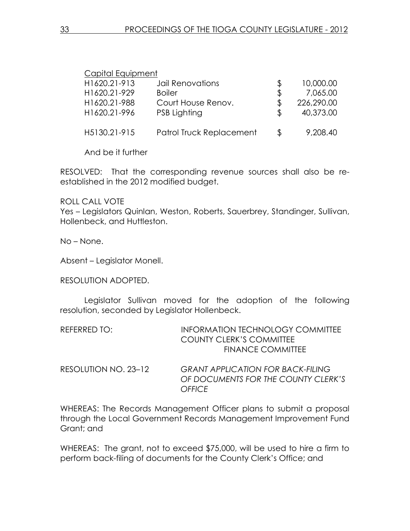| Capital Equipment |                          |            |
|-------------------|--------------------------|------------|
| H1620.21-913      | Jail Renovations         | 10,000.00  |
| H1620.21-929      | <b>Boiler</b>            | 7,065.00   |
| H1620.21-988      | Court House Renov.       | 226,290.00 |
| H1620.21-996      | PSB Lighting             | 40,373.00  |
| H5130.21-915      | Patrol Truck Replacement | 9,208.40   |

And be it further

RESOLVED: That the corresponding revenue sources shall also be reestablished in the 2012 modified budget.

#### ROLL CALL VOTE

Yes – Legislators Quinlan, Weston, Roberts, Sauerbrey, Standinger, Sullivan, Hollenbeck, and Huttleston.

No – None.

Absent – Legislator Monell.

#### RESOLUTION ADOPTED.

 Legislator Sullivan moved for the adoption of the following resolution, seconded by Legislator Hollenbeck.

| REFERRED TO: | INFORMATION TECHNOLOGY COMMITTEE |
|--------------|----------------------------------|
|              | <b>COUNTY CLERK'S COMMITTEE</b>  |
|              | <b>FINANCE COMMITTEE</b>         |
|              |                                  |

| RESOLUTION NO. 23–12 | <b>GRANT APPLICATION FOR BACK-FILING</b> |
|----------------------|------------------------------------------|
|                      | OF DOCUMENTS FOR THE COUNTY CLERK'S      |
|                      | OFFICE                                   |

WHEREAS: The Records Management Officer plans to submit a proposal through the Local Government Records Management Improvement Fund Grant; and

WHEREAS: The grant, not to exceed \$75,000, will be used to hire a firm to perform back-filing of documents for the County Clerk's Office; and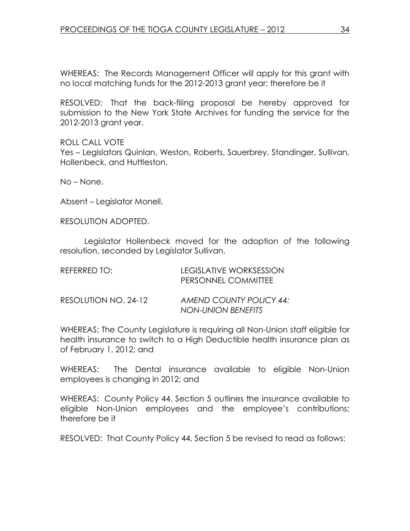WHEREAS: The Records Management Officer will apply for this grant with no local matching funds for the 2012-2013 grant year; therefore be it

RESOLVED: That the back-filing proposal be hereby approved for submission to the New York State Archives for funding the service for the 2012-2013 grant year.

ROLL CALL VOTE Yes – Legislators Quinlan, Weston, Roberts, Sauerbrey, Standinger, Sullivan, Hollenbeck, and Huttleston.

No – None.

Absent – Legislator Monell.

RESOLUTION ADOPTED.

 Legislator Hollenbeck moved for the adoption of the following resolution, seconded by Legislator Sullivan.

| REFERRED TO:         | LEGISLATIVE WORKSESSION<br>PERSONNEL COMMITTEE |
|----------------------|------------------------------------------------|
| RESOLUTION NO. 24-12 | AMEND COUNTY POLICY 44:<br>NON-UNION BENEFITS  |

WHEREAS: The County Legislature is requiring all Non-Union staff eligible for health insurance to switch to a High Deductible health insurance plan as of February 1, 2012; and

WHEREAS: The Dental insurance available to eligible Non-Union employees is changing in 2012; and

WHEREAS: County Policy 44, Section 5 outlines the insurance available to eligible Non-Union employees and the employee's contributions; therefore be it

RESOLVED: That County Policy 44, Section 5 be revised to read as follows: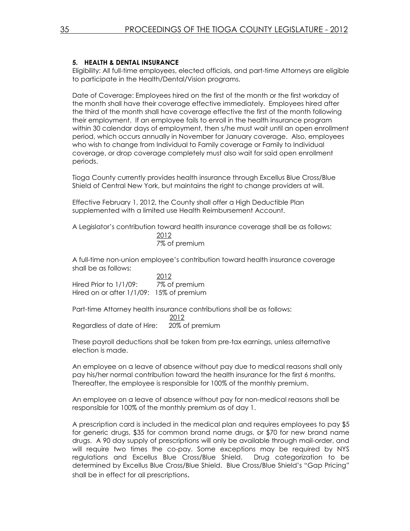#### 5. HEALTH & DENTAL INSURANCE

Eligibility: All full-time employees, elected officials, and part-time Attorneys are eligible to participate in the Health/Dental/Vision programs.

Date of Coverage: Employees hired on the first of the month or the first workday of the month shall have their coverage effective immediately. Employees hired after the third of the month shall have coverage effective the first of the month following their employment. If an employee fails to enroll in the health insurance program within 30 calendar days of employment, then s/he must wait until an open enrollment period, which occurs annually in November for January coverage. Also, employees who wish to change from Individual to Family coverage or Family to Individual coverage, or drop coverage completely must also wait for said open enrollment periods.

Tioga County currently provides health insurance through Excellus Blue Cross/Blue Shield of Central New York, but maintains the right to change providers at will.

Effective February 1, 2012, the County shall offer a High Deductible Plan supplemented with a limited use Health Reimbursement Account.

A Legislator's contribution toward health insurance coverage shall be as follows: 2012

7% of premium

A full-time non-union employee's contribution toward health insurance coverage shall be as follows:

 2012 Hired Prior to 1/1/09: 7% of premium Hired on or after 1/1/09: 15% of premium

Part-time Attorney health insurance contributions shall be as follows: 2012 Regardless of date of Hire: 20% of premium

These payroll deductions shall be taken from pre-tax earnings, unless alternative election is made.

An employee on a leave of absence without pay due to medical reasons shall only pay his/her normal contribution toward the health insurance for the first 6 months. Thereafter, the employee is responsible for 100% of the monthly premium.

An employee on a leave of absence without pay for non-medical reasons shall be responsible for 100% of the monthly premium as of day 1.

A prescription card is included in the medical plan and requires employees to pay \$5 for generic drugs, \$35 for common brand name drugs, or \$70 for new brand name drugs. A 90 day supply of prescriptions will only be available through mail-order, and will require two times the co-pay. Some exceptions may be required by NYS regulations and Excellus Blue Cross/Blue Shield. Drug categorization to be determined by Excellus Blue Cross/Blue Shield. Blue Cross/Blue Shield's "Gap Pricing" shall be in effect for all prescriptions.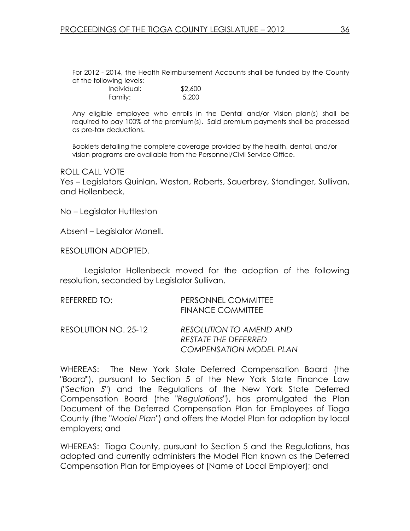For 2012 - 2014, the Health Reimbursement Accounts shall be funded by the County at the following levels:

| Individual: | \$2,600 |
|-------------|---------|
| Family:     | 5,200   |

Any eligible employee who enrolls in the Dental and/or Vision plan(s) shall be required to pay 100% of the premium(s). Said premium payments shall be processed as pre-tax deductions.

Booklets detailing the complete coverage provided by the health, dental, and/or vision programs are available from the Personnel/Civil Service Office.

ROLL CALL VOTE

Yes – Legislators Quinlan, Weston, Roberts, Sauerbrey, Standinger, Sullivan, and Hollenbeck.

No – Legislator Huttleston

Absent – Legislator Monell.

RESOLUTION ADOPTED.

 Legislator Hollenbeck moved for the adoption of the following resolution, seconded by Legislator Sullivan.

| REFERRED TO:         | PERSONNEL COMMITTEE<br><b>FINANCE COMMITTEE</b>                                          |
|----------------------|------------------------------------------------------------------------------------------|
| RESOLUTION NO. 25-12 | <b>RESOLUTION TO AMEND AND</b><br>RESTATE THE DEFERRED<br><b>COMPENSATION MODEL PLAN</b> |

WHEREAS: The New York State Deferred Compensation Board (the "Board"), pursuant to Section 5 of the New York State Finance Law ("Section 5") and the Regulations of the New York State Deferred Compensation Board (the "Regulations"), has promulgated the Plan Document of the Deferred Compensation Plan for Employees of Tioga County (the "Model Plan") and offers the Model Plan for adoption by local employers; and

WHEREAS: Tioga County, pursuant to Section 5 and the Regulations, has adopted and currently administers the Model Plan known as the Deferred Compensation Plan for Employees of [Name of Local Employer]; and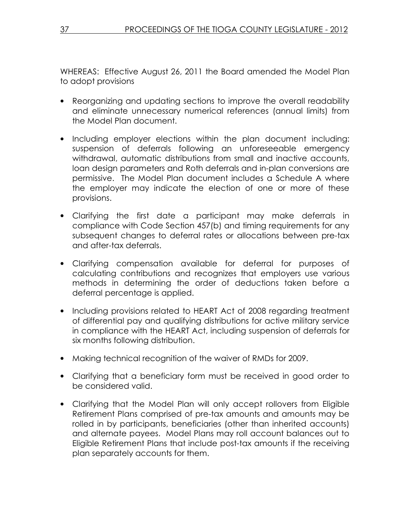WHEREAS: Effective August 26, 2011 the Board amended the Model Plan to adopt provisions

- Reorganizing and updating sections to improve the overall readability and eliminate unnecessary numerical references (annual limits) from the Model Plan document.
- Including employer elections within the plan document including: suspension of deferrals following an unforeseeable emergency withdrawal, automatic distributions from small and inactive accounts, loan design parameters and Roth deferrals and in-plan conversions are permissive. The Model Plan document includes a Schedule A where the employer may indicate the election of one or more of these provisions.
- Clarifying the first date a participant may make deferrals in compliance with Code Section 457(b) and timing requirements for any subsequent changes to deferral rates or allocations between pre-tax and after-tax deferrals.
- Clarifying compensation available for deferral for purposes of calculating contributions and recognizes that employers use various methods in determining the order of deductions taken before a deferral percentage is applied.
- Including provisions related to HEART Act of 2008 regarding treatment of differential pay and qualifying distributions for active military service in compliance with the HEART Act, including suspension of deferrals for six months following distribution.
- Making technical recognition of the waiver of RMDs for 2009.
- Clarifying that a beneficiary form must be received in good order to be considered valid.
- Clarifying that the Model Plan will only accept rollovers from Eligible Retirement Plans comprised of pre-tax amounts and amounts may be rolled in by participants, beneficiaries (other than inherited accounts) and alternate payees. Model Plans may roll account balances out to Eligible Retirement Plans that include post-tax amounts if the receiving plan separately accounts for them.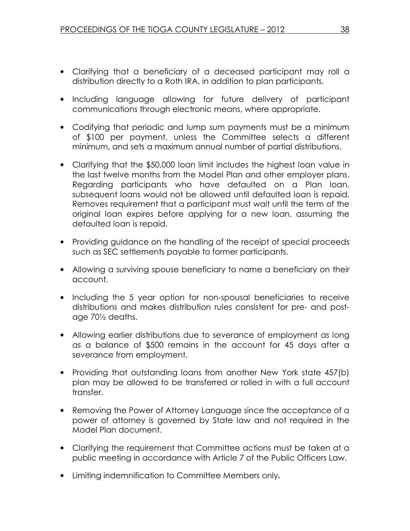- Clarifying that a beneficiary of a deceased participant may roll a distribution directly to a Roth IRA, in addition to plan participants.
- Including language allowing for future delivery of participant communications through electronic means, where appropriate.
- Codifying that periodic and lump sum payments must be a minimum of \$100 per payment, unless the Committee selects a different minimum, and sets a maximum annual number of partial distributions.
- Clarifying that the \$50,000 loan limit includes the highest loan value in the last twelve months from the Model Plan and other employer plans. Regarding participants who have defaulted on a Plan loan, subsequent loans would not be allowed until defaulted loan is repaid. Removes requirement that a participant must wait until the term of the original loan expires before applying for a new loan, assuming the defaulted loan is repaid.
- Providing guidance on the handling of the receipt of special proceeds such as SEC settlements payable to former participants.
- Allowing a surviving spouse beneficiary to name a beneficiary on their account.
- Including the 5 year option for non-spousal beneficiaries to receive distributions and makes distribution rules consistent for pre- and postage 70½ deaths.
- Allowing earlier distributions due to severance of employment as long as a balance of \$500 remains in the account for 45 days after a severance from employment.
- Providing that outstanding loans from another New York state 457(b) plan may be allowed to be transferred or rolled in with a full account transfer.
- Removing the Power of Attorney Language since the acceptance of a power of attorney is governed by State law and not required in the Model Plan document.
- Clarifying the requirement that Committee actions must be taken at a public meeting in accordance with Article 7 of the Public Officers Law.
- Limiting indemnification to Committee Members only.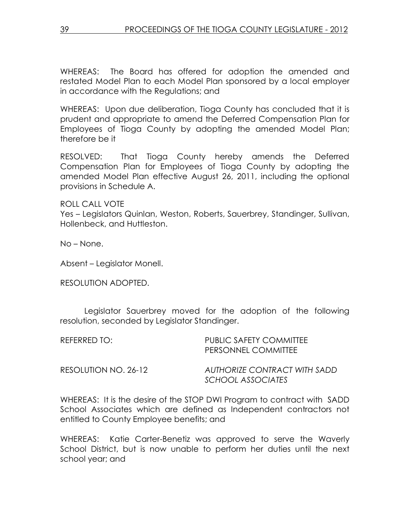WHEREAS: The Board has offered for adoption the amended and restated Model Plan to each Model Plan sponsored by a local employer in accordance with the Regulations; and

WHEREAS: Upon due deliberation, Tioga County has concluded that it is prudent and appropriate to amend the Deferred Compensation Plan for Employees of Tioga County by adopting the amended Model Plan; therefore be it

RESOLVED: That Tioga County hereby amends the Deferred Compensation Plan for Employees of Tioga County by adopting the amended Model Plan effective August 26, 2011, including the optional provisions in Schedule A.

ROLL CALL VOTE

Yes – Legislators Quinlan, Weston, Roberts, Sauerbrey, Standinger, Sullivan, Hollenbeck, and Huttleston.

No – None.

Absent – Legislator Monell.

RESOLUTION ADOPTED.

 Legislator Sauerbrey moved for the adoption of the following resolution, seconded by Legislator Standinger.

REFERRED TO: PUBLIC SAFETY COMMITTEE PERSONNEL COMMITTEE

RESOLUTION NO. 26-12 AUTHORIZE CONTRACT WITH SADD SCHOOL ASSOCIATES

WHEREAS: It is the desire of the STOP DWI Program to contract with SADD School Associates which are defined as Independent contractors not entitled to County Employee benefits; and

WHEREAS: Katie Carter-Benetiz was approved to serve the Waverly School District, but is now unable to perform her duties until the next school year; and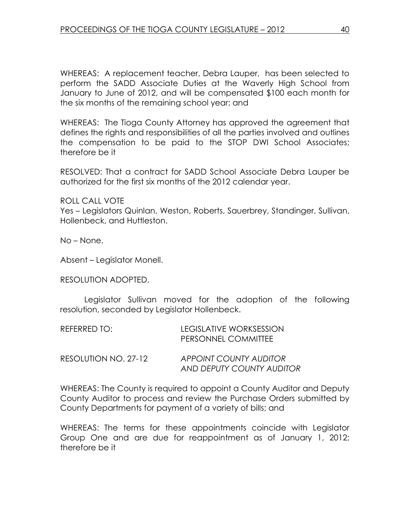WHEREAS: A replacement teacher, Debra Lauper, has been selected to perform the SADD Associate Duties at the Waverly High School from January to June of 2012, and will be compensated \$100 each month for the six months of the remaining school year; and

WHEREAS: The Tioga County Attorney has approved the agreement that defines the rights and responsibilities of all the parties involved and outlines the compensation to be paid to the STOP DWI School Associates; therefore be it

RESOLVED: That a contract for SADD School Associate Debra Lauper be authorized for the first six months of the 2012 calendar year.

ROLL CALL VOTE

Yes – Legislators Quinlan, Weston, Roberts, Sauerbrey, Standinger, Sullivan, Hollenbeck, and Huttleston.

No – None.

Absent – Legislator Monell.

RESOLUTION ADOPTED.

 Legislator Sullivan moved for the adoption of the following resolution, seconded by Legislator Hollenbeck.

| REFERRED TO:         | LEGISLATIVE WORKSESSION<br>PERSONNEL COMMITTEE |
|----------------------|------------------------------------------------|
| RESOLUTION NO. 27-12 | APPOINT COUNTY AUDITOR                         |

AND DEPUTY COUNTY AUDITOR

WHEREAS: The County is required to appoint a County Auditor and Deputy County Auditor to process and review the Purchase Orders submitted by County Departments for payment of a variety of bills; and

WHEREAS: The terms for these appointments coincide with Legislator Group One and are due for reappointment as of January 1, 2012; therefore be it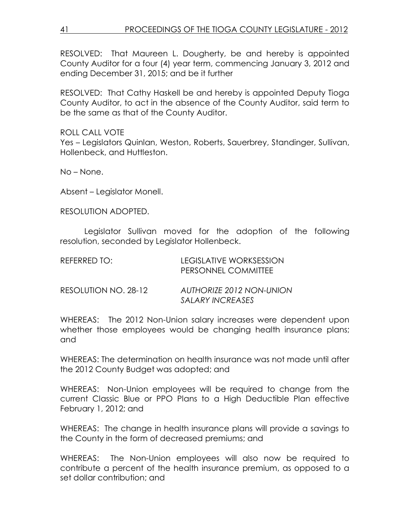RESOLVED: That Maureen L. Dougherty, be and hereby is appointed County Auditor for a four (4) year term, commencing January 3, 2012 and ending December 31, 2015; and be it further

RESOLVED: That Cathy Haskell be and hereby is appointed Deputy Tioga County Auditor, to act in the absence of the County Auditor, said term to be the same as that of the County Auditor.

ROLL CALL VOTE Yes – Legislators Quinlan, Weston, Roberts, Sauerbrey, Standinger, Sullivan, Hollenbeck, and Huttleston.

No – None.

Absent – Legislator Monell.

RESOLUTION ADOPTED.

 Legislator Sullivan moved for the adoption of the following resolution, seconded by Legislator Hollenbeck.

| REFERRED TO:         | LEGISLATIVE WORKSESSION<br>PERSONNEL COMMITTEE      |
|----------------------|-----------------------------------------------------|
| RESOLUTION NO. 28-12 | <b>AUTHORIZE 2012 NON-UNION</b><br>SALARY INCREASES |

WHEREAS: The 2012 Non-Union salary increases were dependent upon whether those employees would be changing health insurance plans; and

WHEREAS: The determination on health insurance was not made until after the 2012 County Budget was adopted; and

WHEREAS: Non-Union employees will be required to change from the current Classic Blue or PPO Plans to a High Deductible Plan effective February 1, 2012; and

WHEREAS: The change in health insurance plans will provide a savings to the County in the form of decreased premiums; and

WHEREAS: The Non-Union employees will also now be required to contribute a percent of the health insurance premium, as opposed to a set dollar contribution; and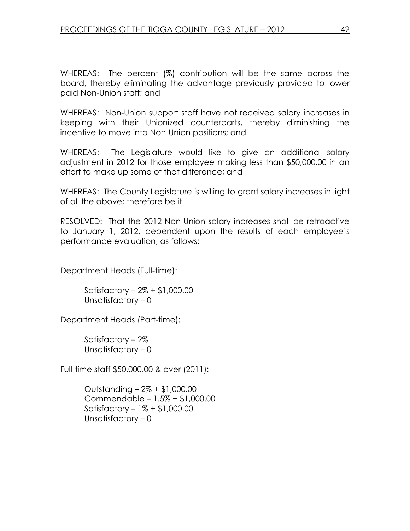WHEREAS: The percent (%) contribution will be the same across the board, thereby eliminating the advantage previously provided to lower paid Non-Union staff; and

WHEREAS: Non-Union support staff have not received salary increases in keeping with their Unionized counterparts, thereby diminishing the incentive to move into Non-Union positions; and

WHEREAS: The Legislature would like to give an additional salary adjustment in 2012 for those employee making less than \$50,000.00 in an effort to make up some of that difference; and

WHEREAS: The County Legislature is willing to grant salary increases in light of all the above; therefore be it

RESOLVED: That the 2012 Non-Union salary increases shall be retroactive to January 1, 2012, dependent upon the results of each employee's performance evaluation, as follows:

Department Heads (Full-time):

 Satisfactory – 2% + \$1,000.00 Unsatisfactory – 0

Department Heads (Part-time):

 Satisfactory – 2% Unsatisfactory – 0

Full-time staff \$50,000.00 & over (2011):

 Outstanding – 2% + \$1,000.00 Commendable – 1.5% + \$1,000.00 Satisfactory – 1% + \$1,000.00 Unsatisfactory – 0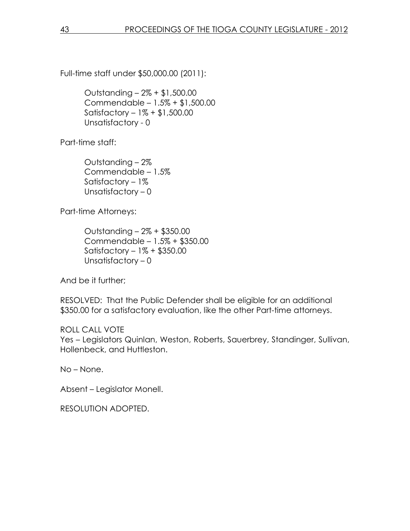Full-time staff under \$50,000.00 (2011):

 Outstanding – 2% + \$1,500.00 Commendable – 1.5% + \$1,500.00 Satisfactory – 1% + \$1,500.00 Unsatisfactory - 0

Part-time staff:

 Outstanding – 2% Commendable – 1.5% Satisfactory – 1% Unsatisfactory – 0

Part-time Attorneys:

 Outstanding – 2% + \$350.00 Commendable – 1.5% + \$350.00 Satisfactory – 1% + \$350.00 Unsatisfactory – 0

And be it further;

RESOLVED: That the Public Defender shall be eligible for an additional \$350.00 for a satisfactory evaluation, like the other Part-time attorneys.

ROLL CALL VOTE Yes – Legislators Quinlan, Weston, Roberts, Sauerbrey, Standinger, Sullivan, Hollenbeck, and Huttleston.

No – None.

Absent – Legislator Monell.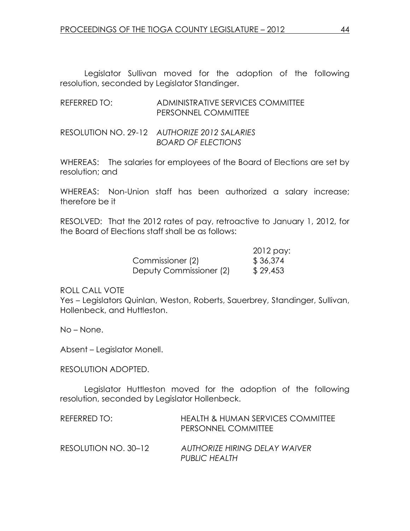Legislator Sullivan moved for the adoption of the following resolution, seconded by Legislator Standinger.

REFERRED TO: ADMINISTRATIVE SERVICES COMMITTEE PERSONNEL COMMITTEE

RESOLUTION NO. 29-12 AUTHORIZE 2012 SALARIES BOARD OF ELECTIONS

WHEREAS: The salaries for employees of the Board of Elections are set by resolution; and

WHEREAS: Non-Union staff has been authorized a salary increase; therefore be it

RESOLVED: That the 2012 rates of pay, retroactive to January 1, 2012, for the Board of Elections staff shall be as follows:

|                         | 2012 pay: |
|-------------------------|-----------|
| Commissioner (2)        | \$36,374  |
| Deputy Commissioner (2) | \$29,453  |

ROLL CALL VOTE

Yes – Legislators Quinlan, Weston, Roberts, Sauerbrey, Standinger, Sullivan, Hollenbeck, and Huttleston.

No – None.

Absent – Legislator Monell.

#### RESOLUTION ADOPTED.

 Legislator Huttleston moved for the adoption of the following resolution, seconded by Legislator Hollenbeck.

| REFERRED TO:         | HEALTH & HUMAN SERVICES COMMITTEE<br>PERSONNEL COMMITTEE |
|----------------------|----------------------------------------------------------|
| RESOLUTION NO. 30–12 | <b>AUTHORIZE HIRING DELAY WAIVER</b><br>PUBLIC HEALTH    |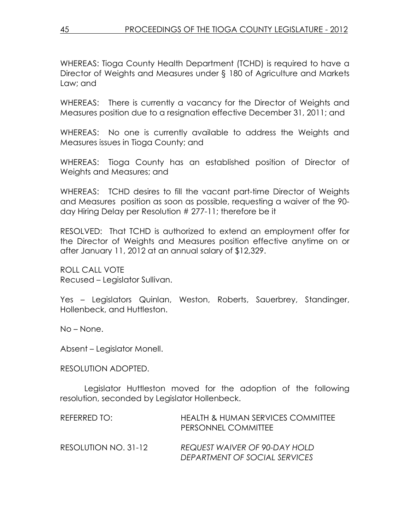WHEREAS: Tioga County Health Department (TCHD) is required to have a Director of Weights and Measures under § 180 of Agriculture and Markets Law; and

WHEREAS: There is currently a vacancy for the Director of Weights and Measures position due to a resignation effective December 31, 2011; and

WHEREAS: No one is currently available to address the Weights and Measures issues in Tioga County; and

WHEREAS: Tioga County has an established position of Director of Weights and Measures; and

WHEREAS: TCHD desires to fill the vacant part-time Director of Weights and Measures position as soon as possible, requesting a waiver of the 90 day Hiring Delay per Resolution # 277-11; therefore be it

RESOLVED: That TCHD is authorized to extend an employment offer for the Director of Weights and Measures position effective anytime on or after January 11, 2012 at an annual salary of \$12,329.

ROLL CALL VOTE Recused – Legislator Sullivan.

Yes – Legislators Quinlan, Weston, Roberts, Sauerbrey, Standinger, Hollenbeck, and Huttleston.

No – None.

Absent – Legislator Monell.

#### RESOLUTION ADOPTED.

 Legislator Huttleston moved for the adoption of the following resolution, seconded by Legislator Hollenbeck.

| REFERRED TO:         | HEALTH & HUMAN SERVICES COMMITTEE<br>PERSONNEL COMMITTEE       |
|----------------------|----------------------------------------------------------------|
| RESOLUTION NO. 31-12 | REQUEST WAIVER OF 90-DAY HOLD<br>DEPARTMENT OF SOCIAL SERVICES |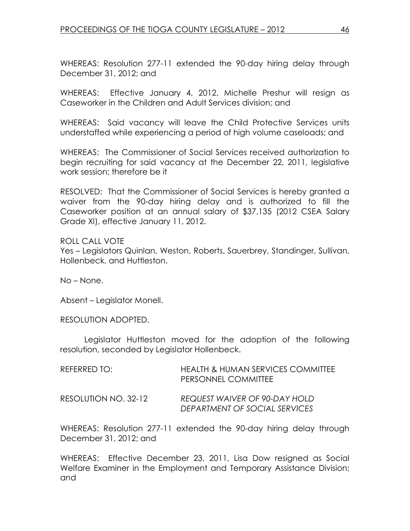WHEREAS: Resolution 277-11 extended the 90-day hiring delay through December 31, 2012; and

WHEREAS: Effective January 4, 2012, Michelle Preshur will resign as Caseworker in the Children and Adult Services division; and

WHEREAS: Said vacancy will leave the Child Protective Services units understaffed while experiencing a period of high volume caseloads; and

WHEREAS: The Commissioner of Social Services received authorization to begin recruiting for said vacancy at the December 22, 2011, legislative work session; therefore be it

RESOLVED: That the Commissioner of Social Services is hereby granted a waiver from the 90-day hiring delay and is authorized to fill the Caseworker position at an annual salary of \$37,135 (2012 CSEA Salary Grade XI), effective January 11, 2012.

ROLL CALL VOTE Yes – Legislators Quinlan, Weston, Roberts, Sauerbrey, Standinger, Sullivan, Hollenbeck, and Huttleston.

No – None.

Absent – Legislator Monell.

#### RESOLUTION ADOPTED.

 Legislator Huttleston moved for the adoption of the following resolution, seconded by Legislator Hollenbeck.

| REFERRED TO:         | <b>HEALTH &amp; HUMAN SERVICES COMMITTEE</b><br>PERSONNEL COMMITTEE |
|----------------------|---------------------------------------------------------------------|
| RESOLUTION NO. 32-12 | REQUEST WAIVER OF 90-DAY HOLD<br>DEPARTMENT OF SOCIAL SERVICES      |

WHEREAS: Resolution 277-11 extended the 90-day hiring delay through December 31, 2012; and

WHEREAS: Effective December 23, 2011, Lisa Dow resigned as Social Welfare Examiner in the Employment and Temporary Assistance Division; and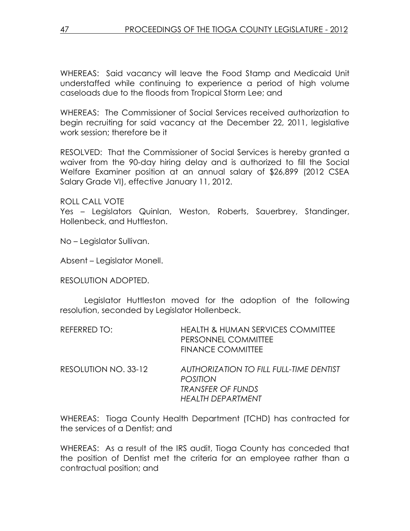WHEREAS: Said vacancy will leave the Food Stamp and Medicaid Unit understaffed while continuing to experience a period of high volume caseloads due to the floods from Tropical Storm Lee; and

WHEREAS: The Commissioner of Social Services received authorization to begin recruiting for said vacancy at the December 22, 2011, legislative work session; therefore be it

RESOLVED: That the Commissioner of Social Services is hereby granted a waiver from the 90-day hiring delay and is authorized to fill the Social Welfare Examiner position at an annual salary of \$26,899 (2012 CSEA Salary Grade VI), effective January 11, 2012.

ROLL CALL VOTE

Yes – Legislators Quinlan, Weston, Roberts, Sauerbrey, Standinger, Hollenbeck, and Huttleston.

No – Legislator Sullivan.

Absent – Legislator Monell.

RESOLUTION ADOPTED.

 Legislator Huttleston moved for the adoption of the following resolution, seconded by Legislator Hollenbeck.

| REFERRED TO: | <b>HEALTH &amp; HUMAN SERVICES COMMITTEE</b> |
|--------------|----------------------------------------------|
|              | <b>PERSONNEL COMMITTEE</b>                   |
|              | <b>FINANCE COMMITTEE</b>                     |
|              |                                              |

RESOLUTION NO. 33-12 AUTHORIZATION TO FILL FULL-TIME DENTIST POSITION TRANSFER OF FUNDS HEALTH DEPARTMENT

WHEREAS: Tioga County Health Department (TCHD) has contracted for the services of a Dentist; and

WHEREAS: As a result of the IRS audit, Tioga County has conceded that the position of Dentist met the criteria for an employee rather than a contractual position; and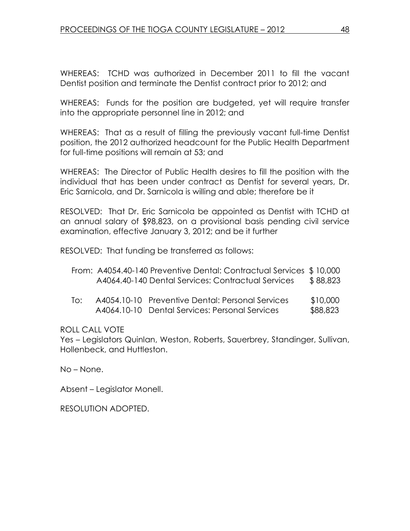WHEREAS: TCHD was authorized in December 2011 to fill the vacant Dentist position and terminate the Dentist contract prior to 2012; and

WHEREAS: Funds for the position are budgeted, yet will require transfer into the appropriate personnel line in 2012; and

WHEREAS: That as a result of filling the previously vacant full-time Dentist position, the 2012 authorized headcount for the Public Health Department for full-time positions will remain at 53; and

WHEREAS: The Director of Public Health desires to fill the position with the individual that has been under contract as Dentist for several years, Dr. Eric Sarnicola, and Dr. Sarnicola is willing and able; therefore be it

RESOLVED: That Dr. Eric Sarnicola be appointed as Dentist with TCHD at an annual salary of \$98,823, on a provisional basis pending civil service examination, effective January 3, 2012; and be it further

RESOLVED: That funding be transferred as follows:

| From: A4054.40-140 Preventive Dental: Contractual Services \$10,000 |          |
|---------------------------------------------------------------------|----------|
| A4064.40-140 Dental Services: Contractual Services                  | \$88,823 |

 To: A4054.10-10 Preventive Dental: Personal Services \$10,000 A4064.10-10 Dental Services: Personal Services \$88,823

ROLL CALL VOTE

Yes – Legislators Quinlan, Weston, Roberts, Sauerbrey, Standinger, Sullivan, Hollenbeck, and Huttleston.

No – None.

Absent – Legislator Monell.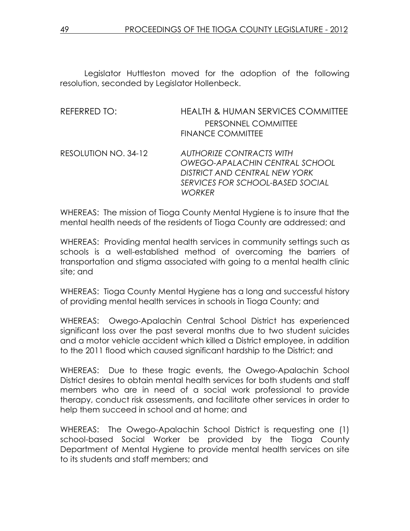Legislator Huttleston moved for the adoption of the following resolution, seconded by Legislator Hollenbeck.

| <b>HEALTH &amp; HUMAN SERVICES COMMITTEE</b>      |
|---------------------------------------------------|
| PERSONNEL COMMITTEE                               |
| <b>FINANCE COMMITTEE</b>                          |
| <b>AUTHORIZE CONTRACTS WITH</b>                   |
| <b>OWEGO-APALACHIN CENTRAL SCHOOL</b>             |
| DISTRICT AND CENTRAL NEW YORK                     |
| SERVICES FOR SCHOOL-BASED SOCIAL<br><b>WORKFR</b> |
|                                                   |

WHEREAS: The mission of Tioga County Mental Hygiene is to insure that the mental health needs of the residents of Tioga County are addressed; and

WHEREAS: Providing mental health services in community settings such as schools is a well-established method of overcoming the barriers of transportation and stigma associated with going to a mental health clinic site; and

WHEREAS: Tioga County Mental Hygiene has a long and successful history of providing mental health services in schools in Tioga County; and

WHEREAS: Owego-Apalachin Central School District has experienced significant loss over the past several months due to two student suicides and a motor vehicle accident which killed a District employee, in addition to the 2011 flood which caused significant hardship to the District; and

WHEREAS: Due to these tragic events, the Owego-Apalachin School District desires to obtain mental health services for both students and staff members who are in need of a social work professional to provide therapy, conduct risk assessments, and facilitate other services in order to help them succeed in school and at home; and

WHEREAS: The Owego-Apalachin School District is requesting one (1) school-based Social Worker be provided by the Tioga County Department of Mental Hygiene to provide mental health services on site to its students and staff members; and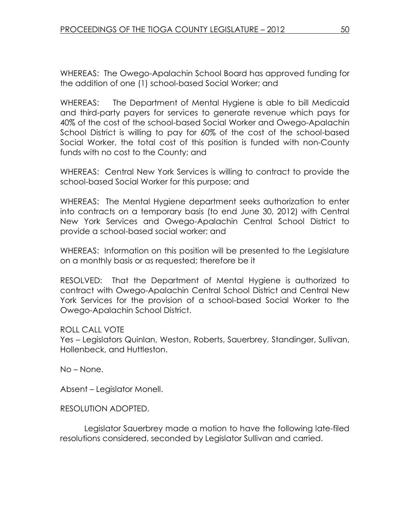WHEREAS: The Owego-Apalachin School Board has approved funding for the addition of one (1) school-based Social Worker; and

WHEREAS: The Department of Mental Hygiene is able to bill Medicaid and third-party payers for services to generate revenue which pays for 40% of the cost of the school-based Social Worker and Owego-Apalachin School District is willing to pay for 60% of the cost of the school-based Social Worker, the total cost of this position is funded with non-County funds with no cost to the County; and

WHEREAS: Central New York Services is willing to contract to provide the school-based Social Worker for this purpose; and

WHEREAS: The Mental Hygiene department seeks authorization to enter into contracts on a temporary basis (to end June 30, 2012) with Central New York Services and Owego-Apalachin Central School District to provide a school-based social worker; and

WHEREAS: Information on this position will be presented to the Legislature on a monthly basis or as requested; therefore be it

RESOLVED: That the Department of Mental Hygiene is authorized to contract with Owego-Apalachin Central School District and Central New York Services for the provision of a school-based Social Worker to the Owego-Apalachin School District.

ROLL CALL VOTE

Yes – Legislators Quinlan, Weston, Roberts, Sauerbrey, Standinger, Sullivan, Hollenbeck, and Huttleston.

No – None.

Absent – Legislator Monell.

RESOLUTION ADOPTED.

 Legislator Sauerbrey made a motion to have the following late-filed resolutions considered, seconded by Legislator Sullivan and carried.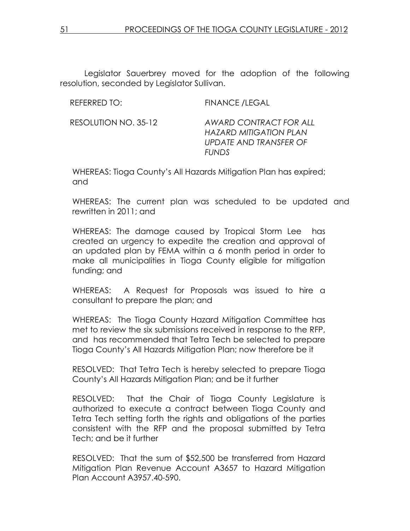Legislator Sauerbrey moved for the adoption of the following resolution, seconded by Legislator Sullivan.

REFERRED TO: FINANCE /LEGAL

RESOLUTION NO. 35-12 AWARD CONTRACT FOR ALL HAZARD MITIGATION PLAN UPDATE AND TRANSFER OF FUNDS

WHEREAS: Tioga County's All Hazards Mitigation Plan has expired; and

WHEREAS: The current plan was scheduled to be updated and rewritten in 2011; and

WHEREAS: The damage caused by Tropical Storm Lee has created an urgency to expedite the creation and approval of an updated plan by FEMA within a 6 month period in order to make all municipalities in Tioga County eligible for mitigation funding; and

WHEREAS: A Request for Proposals was issued to hire a consultant to prepare the plan; and

WHEREAS: The Tioga County Hazard Mitigation Committee has met to review the six submissions received in response to the RFP, and has recommended that Tetra Tech be selected to prepare Tioga County's All Hazards Mitigation Plan; now therefore be it

RESOLVED: That Tetra Tech is hereby selected to prepare Tioga County's All Hazards Mitigation Plan; and be it further

RESOLVED: That the Chair of Tioga County Legislature is authorized to execute a contract between Tioga County and Tetra Tech setting forth the rights and obligations of the parties consistent with the RFP and the proposal submitted by Tetra Tech; and be it further

RESOLVED: That the sum of \$52,500 be transferred from Hazard Mitigation Plan Revenue Account A3657 to Hazard Mitigation Plan Account A3957.40-590.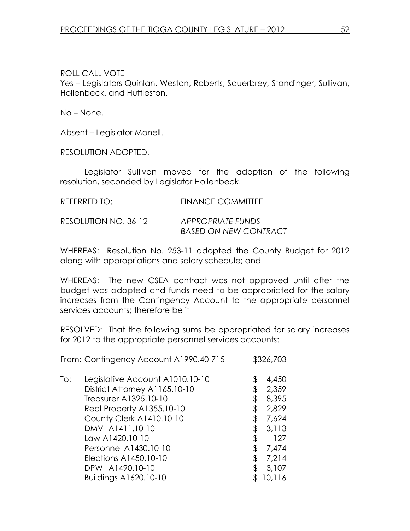### ROLL CALL VOTE

Yes – Legislators Quinlan, Weston, Roberts, Sauerbrey, Standinger, Sullivan, Hollenbeck, and Huttleston.

No – None.

Absent – Legislator Monell.

RESOLUTION ADOPTED.

 Legislator Sullivan moved for the adoption of the following resolution, seconded by Legislator Hollenbeck.

| REFERRED TO:         | <b>FINANCE COMMITTEE</b>                                 |
|----------------------|----------------------------------------------------------|
| RESOLUTION NO. 36-12 | <b>APPROPRIATE FUNDS</b><br><b>BASED ON NEW CONTRACT</b> |

WHEREAS: Resolution No. 253-11 adopted the County Budget for 2012 along with appropriations and salary schedule; and

WHEREAS: The new CSEA contract was not approved until after the budget was adopted and funds need to be appropriated for the salary increases from the Contingency Account to the appropriate personnel services accounts; therefore be it

RESOLVED: That the following sums be appropriated for salary increases for 2012 to the appropriate personnel services accounts:

From: Contingency Account A1990.40-715 \$326,703

| To: | Legislative Account A1010.10-10 | 4,450       |
|-----|---------------------------------|-------------|
|     | District Attorney A1165.10-10   | \$<br>2,359 |
|     | Treasurer A1325.10-10           | \$<br>8,395 |
|     | Real Property A1355.10-10       | \$<br>2,829 |
|     | County Clerk A1410.10-10        | \$<br>7,624 |
|     | DMV A1411.10-10                 | 3,113       |
|     | Law A1420.10-10                 | 127         |
|     | Personnel A1430.10-10           | \$<br>7,474 |
|     | Elections A1450.10-10           | 7,214       |
|     | DPW A1490.10-10                 | 3,107       |
|     | Buildings A1620.10-10           | 10,116      |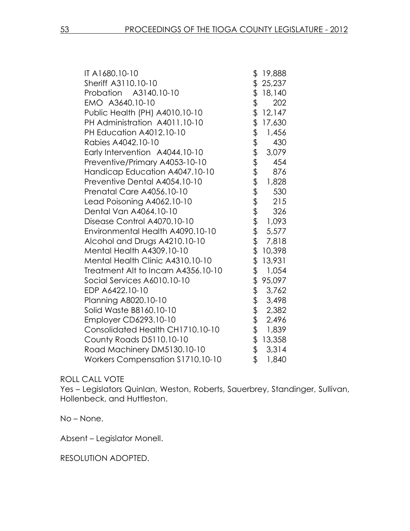| IT A1680.10-10                          | \$          | 19,888 |
|-----------------------------------------|-------------|--------|
| Sheriff A3110.10-10                     | \$          | 25,237 |
| Probation A3140.10-10                   | \$          | 18,140 |
| EMO A3640.10-10                         |             | 202    |
| Public Health (PH) A4010.10-10          | さます         | 12,147 |
| PH Administration A4011.10-10           |             | 17,630 |
| PH Education A4012.10-10                |             | 1,456  |
| Rabies A4042.10-10                      |             | 430    |
| Early Intervention A4044.10-10          |             | 3,079  |
| Preventive/Primary A4053-10-10          |             | 454    |
| Handicap Education A4047.10-10          |             | 876    |
| Preventive Dental A4054.10-10           | ままままままままままま | 1,828  |
| Prenatal Care A4056.10-10               |             | 530    |
| Lead Poisoning A4062.10-10              |             | 215    |
| Dental Van A4064.10-10                  |             | 326    |
| Disease Control A4070.10-10             |             | 1,093  |
| Environmental Health A4090.10-10        |             | 5,577  |
| Alcohol and Drugs A4210.10-10           |             | 7,818  |
| Mental Health A4309.10-10               |             | 10,398 |
| Mental Health Clinic A4310.10-10        | \$          | 13,931 |
| Treatment Alt to Incarn A4356.10-10     | \$          | 1,054  |
| Social Services A6010.10-10             | \$          | 95,097 |
| EDP A6422.10-10                         |             | 3,762  |
| Planning A8020.10-10                    | もままま        | 3,498  |
| Solid Waste B8160.10-10                 |             | 2,382  |
| Employer CD6293.10-10                   |             | 2,496  |
| Consolidated Health CH1710.10-10        |             | 1,839  |
| County Roads D5110.10-10                | \$          | 13,358 |
| Road Machinery DM5130.10-10             | $\ddot{\$}$ | 3,314  |
| <b>Workers Compensation S1710.10-10</b> | \$          | 1,840  |

#### ROLL CALL VOTE

Yes – Legislators Quinlan, Weston, Roberts, Sauerbrey, Standinger, Sullivan, Hollenbeck, and Huttleston.

No – None.

Absent – Legislator Monell.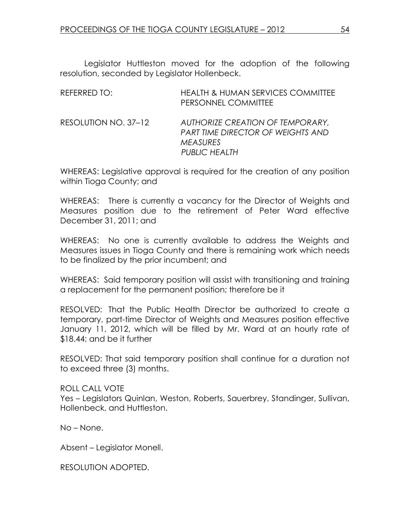Legislator Huttleston moved for the adoption of the following resolution, seconded by Legislator Hollenbeck.

| REFERRED TO:         | <b>HEALTH &amp; HUMAN SERVICES COMMITTEE</b><br>PERSONNEL COMMITTEE                                                     |
|----------------------|-------------------------------------------------------------------------------------------------------------------------|
| RESOLUTION NO. 37-12 | AUTHORIZE CREATION OF TEMPORARY,<br><b>PART TIME DIRECTOR OF WEIGHTS AND</b><br><b>MEASURES</b><br><b>PUBLIC HEALTH</b> |

WHEREAS: Legislative approval is required for the creation of any position within Tioga County; and

WHEREAS: There is currently a vacancy for the Director of Weights and Measures position due to the retirement of Peter Ward effective December 31, 2011; and

WHEREAS: No one is currently available to address the Weights and Measures issues in Tioga County and there is remaining work which needs to be finalized by the prior incumbent; and

WHEREAS: Said temporary position will assist with transitioning and training a replacement for the permanent position; therefore be it

RESOLVED: That the Public Health Director be authorized to create a temporary, part-time Director of Weights and Measures position effective January 11, 2012, which will be filled by Mr. Ward at an hourly rate of \$18.44; and be it further

RESOLVED: That said temporary position shall continue for a duration not to exceed three (3) months.

ROLL CALL VOTE Yes – Legislators Quinlan, Weston, Roberts, Sauerbrey, Standinger, Sullivan, Hollenbeck, and Huttleston.

No – None.

Absent – Legislator Monell.